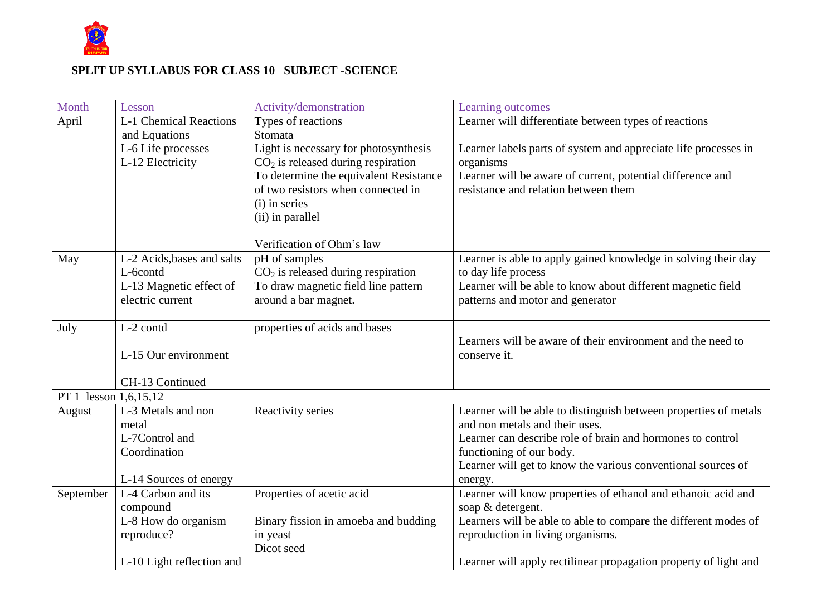

## **SPLIT UP SYLLABUS FOR CLASS 10 SUBJECT -SCIENCE**

| Month                 | Lesson                        | Activity/demonstration                 | Learning outcomes                                                |  |
|-----------------------|-------------------------------|----------------------------------------|------------------------------------------------------------------|--|
| April                 | <b>L-1 Chemical Reactions</b> | Types of reactions                     | Learner will differentiate between types of reactions            |  |
|                       | and Equations                 | Stomata                                |                                                                  |  |
|                       | L-6 Life processes            | Light is necessary for photosynthesis  | Learner labels parts of system and appreciate life processes in  |  |
|                       | L-12 Electricity              | $CO2$ is released during respiration   | organisms                                                        |  |
|                       |                               | To determine the equivalent Resistance | Learner will be aware of current, potential difference and       |  |
|                       |                               | of two resistors when connected in     | resistance and relation between them                             |  |
|                       |                               | (i) in series                          |                                                                  |  |
|                       |                               | (ii) in parallel                       |                                                                  |  |
|                       |                               | Verification of Ohm's law              |                                                                  |  |
| May                   | L-2 Acids, bases and salts    | pH of samples                          | Learner is able to apply gained knowledge in solving their day   |  |
|                       | L-6contd                      | $CO2$ is released during respiration   | to day life process                                              |  |
|                       | L-13 Magnetic effect of       | To draw magnetic field line pattern    | Learner will be able to know about different magnetic field      |  |
|                       | electric current              | around a bar magnet.                   | patterns and motor and generator                                 |  |
| July                  | L-2 contd                     | properties of acids and bases          |                                                                  |  |
|                       |                               |                                        | Learners will be aware of their environment and the need to      |  |
|                       | L-15 Our environment          |                                        | conserve it.                                                     |  |
|                       | CH-13 Continued               |                                        |                                                                  |  |
| PT 1 lesson 1,6,15,12 |                               |                                        |                                                                  |  |
| August                | L-3 Metals and non            | Reactivity series                      | Learner will be able to distinguish between properties of metals |  |
|                       | metal                         |                                        | and non metals and their uses.                                   |  |
|                       | L-7Control and                |                                        | Learner can describe role of brain and hormones to control       |  |
|                       | Coordination                  |                                        | functioning of our body.                                         |  |
|                       |                               |                                        | Learner will get to know the various conventional sources of     |  |
|                       | L-14 Sources of energy        |                                        | energy.                                                          |  |
| September             | L-4 Carbon and its            | Properties of acetic acid              | Learner will know properties of ethanol and ethanoic acid and    |  |
|                       | compound                      |                                        | soap & detergent.                                                |  |
|                       | L-8 How do organism           | Binary fission in amoeba and budding   | Learners will be able to able to compare the different modes of  |  |
|                       | reproduce?                    | in yeast<br>Dicot seed                 | reproduction in living organisms.                                |  |
|                       | L-10 Light reflection and     |                                        | Learner will apply rectilinear propagation property of light and |  |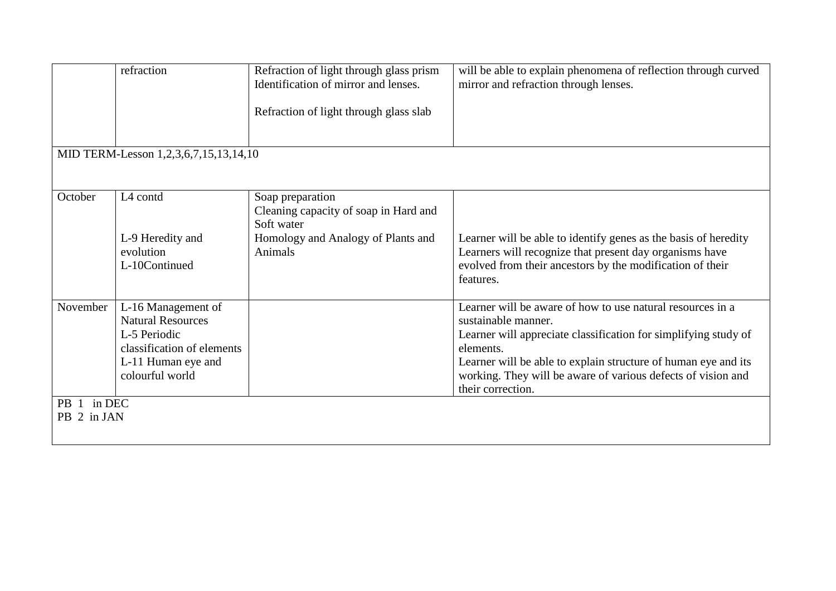|                                       | refraction                 | Refraction of light through glass prism | will be able to explain phenomena of reflection through curved  |  |  |
|---------------------------------------|----------------------------|-----------------------------------------|-----------------------------------------------------------------|--|--|
|                                       |                            | Identification of mirror and lenses.    | mirror and refraction through lenses.                           |  |  |
|                                       |                            |                                         |                                                                 |  |  |
|                                       |                            | Refraction of light through glass slab  |                                                                 |  |  |
|                                       |                            |                                         |                                                                 |  |  |
|                                       |                            |                                         |                                                                 |  |  |
| MID TERM-Lesson 1,2,3,6,7,15,13,14,10 |                            |                                         |                                                                 |  |  |
|                                       |                            |                                         |                                                                 |  |  |
|                                       |                            |                                         |                                                                 |  |  |
| October                               | L4 contd                   | Soap preparation                        |                                                                 |  |  |
|                                       |                            | Cleaning capacity of soap in Hard and   |                                                                 |  |  |
|                                       |                            | Soft water                              |                                                                 |  |  |
|                                       | L-9 Heredity and           | Homology and Analogy of Plants and      | Learner will be able to identify genes as the basis of heredity |  |  |
|                                       | evolution                  | Animals                                 | Learners will recognize that present day organisms have         |  |  |
|                                       | L-10Continued              |                                         | evolved from their ancestors by the modification of their       |  |  |
|                                       |                            |                                         | features.                                                       |  |  |
|                                       |                            |                                         |                                                                 |  |  |
| November                              | L-16 Management of         |                                         | Learner will be aware of how to use natural resources in a      |  |  |
|                                       | <b>Natural Resources</b>   |                                         | sustainable manner.                                             |  |  |
|                                       | L-5 Periodic               |                                         | Learner will appreciate classification for simplifying study of |  |  |
|                                       | classification of elements |                                         | elements.                                                       |  |  |
|                                       | L-11 Human eye and         |                                         | Learner will be able to explain structure of human eye and its  |  |  |
|                                       | colourful world            |                                         | working. They will be aware of various defects of vision and    |  |  |
|                                       |                            |                                         | their correction.                                               |  |  |
| PB 1 in DEC                           |                            |                                         |                                                                 |  |  |
| PB 2 in JAN                           |                            |                                         |                                                                 |  |  |
|                                       |                            |                                         |                                                                 |  |  |
|                                       |                            |                                         |                                                                 |  |  |